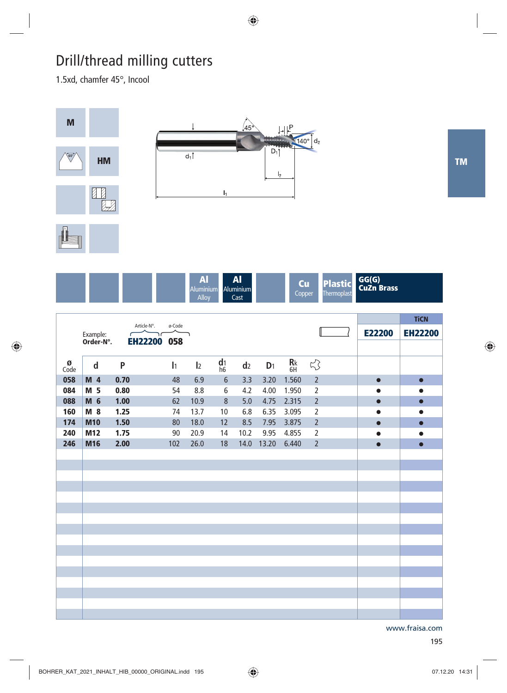## Drill/thread milling cutters

1.5xd, chamfer 45°, Incool